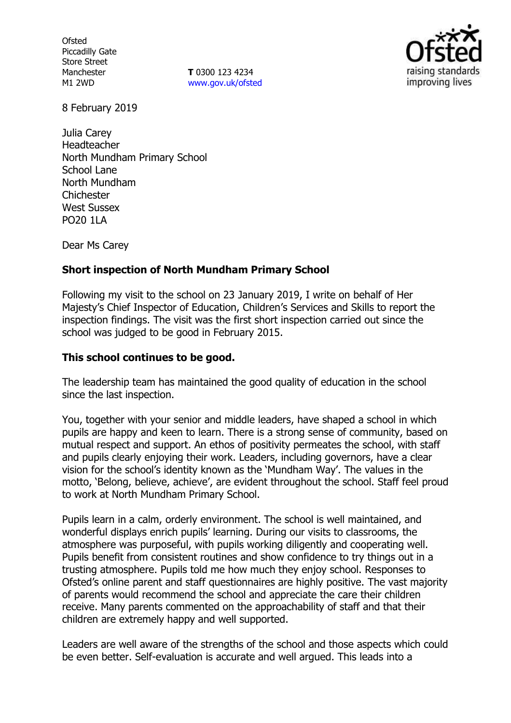**Ofsted** Piccadilly Gate Store Street Manchester M1 2WD

**T** 0300 123 4234 www.gov.uk/ofsted



8 February 2019

Julia Carey Headteacher North Mundham Primary School School Lane North Mundham **Chichester** West Sussex PO20 1LA

Dear Ms Carey

## **Short inspection of North Mundham Primary School**

Following my visit to the school on 23 January 2019, I write on behalf of Her Majesty's Chief Inspector of Education, Children's Services and Skills to report the inspection findings. The visit was the first short inspection carried out since the school was judged to be good in February 2015.

## **This school continues to be good.**

The leadership team has maintained the good quality of education in the school since the last inspection.

You, together with your senior and middle leaders, have shaped a school in which pupils are happy and keen to learn. There is a strong sense of community, based on mutual respect and support. An ethos of positivity permeates the school, with staff and pupils clearly enjoying their work. Leaders, including governors, have a clear vision for the school's identity known as the 'Mundham Way'. The values in the motto, 'Belong, believe, achieve', are evident throughout the school. Staff feel proud to work at North Mundham Primary School.

Pupils learn in a calm, orderly environment. The school is well maintained, and wonderful displays enrich pupils' learning. During our visits to classrooms, the atmosphere was purposeful, with pupils working diligently and cooperating well. Pupils benefit from consistent routines and show confidence to try things out in a trusting atmosphere. Pupils told me how much they enjoy school. Responses to Ofsted's online parent and staff questionnaires are highly positive. The vast majority of parents would recommend the school and appreciate the care their children receive. Many parents commented on the approachability of staff and that their children are extremely happy and well supported.

Leaders are well aware of the strengths of the school and those aspects which could be even better. Self-evaluation is accurate and well argued. This leads into a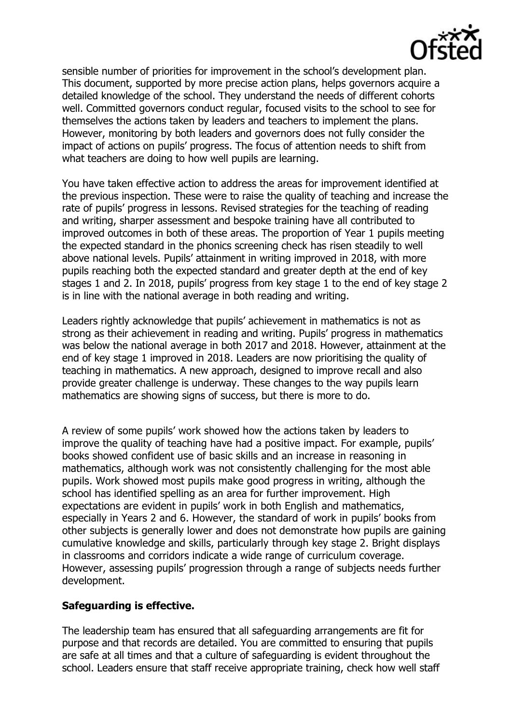

sensible number of priorities for improvement in the school's development plan. This document, supported by more precise action plans, helps governors acquire a detailed knowledge of the school. They understand the needs of different cohorts well. Committed governors conduct regular, focused visits to the school to see for themselves the actions taken by leaders and teachers to implement the plans. However, monitoring by both leaders and governors does not fully consider the impact of actions on pupils' progress. The focus of attention needs to shift from what teachers are doing to how well pupils are learning.

You have taken effective action to address the areas for improvement identified at the previous inspection. These were to raise the quality of teaching and increase the rate of pupils' progress in lessons. Revised strategies for the teaching of reading and writing, sharper assessment and bespoke training have all contributed to improved outcomes in both of these areas. The proportion of Year 1 pupils meeting the expected standard in the phonics screening check has risen steadily to well above national levels. Pupils' attainment in writing improved in 2018, with more pupils reaching both the expected standard and greater depth at the end of key stages 1 and 2. In 2018, pupils' progress from key stage 1 to the end of key stage 2 is in line with the national average in both reading and writing.

Leaders rightly acknowledge that pupils' achievement in mathematics is not as strong as their achievement in reading and writing. Pupils' progress in mathematics was below the national average in both 2017 and 2018. However, attainment at the end of key stage 1 improved in 2018. Leaders are now prioritising the quality of teaching in mathematics. A new approach, designed to improve recall and also provide greater challenge is underway. These changes to the way pupils learn mathematics are showing signs of success, but there is more to do.

A review of some pupils' work showed how the actions taken by leaders to improve the quality of teaching have had a positive impact. For example, pupils' books showed confident use of basic skills and an increase in reasoning in mathematics, although work was not consistently challenging for the most able pupils. Work showed most pupils make good progress in writing, although the school has identified spelling as an area for further improvement. High expectations are evident in pupils' work in both English and mathematics, especially in Years 2 and 6. However, the standard of work in pupils' books from other subjects is generally lower and does not demonstrate how pupils are gaining cumulative knowledge and skills, particularly through key stage 2. Bright displays in classrooms and corridors indicate a wide range of curriculum coverage. However, assessing pupils' progression through a range of subjects needs further development.

#### **Safeguarding is effective.**

The leadership team has ensured that all safeguarding arrangements are fit for purpose and that records are detailed. You are committed to ensuring that pupils are safe at all times and that a culture of safeguarding is evident throughout the school. Leaders ensure that staff receive appropriate training, check how well staff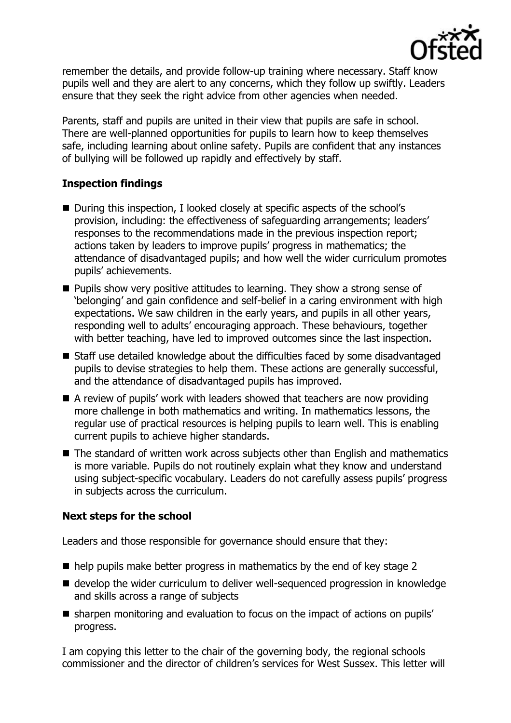

remember the details, and provide follow-up training where necessary. Staff know pupils well and they are alert to any concerns, which they follow up swiftly. Leaders ensure that they seek the right advice from other agencies when needed.

Parents, staff and pupils are united in their view that pupils are safe in school. There are well-planned opportunities for pupils to learn how to keep themselves safe, including learning about online safety. Pupils are confident that any instances of bullying will be followed up rapidly and effectively by staff.

## **Inspection findings**

- During this inspection, I looked closely at specific aspects of the school's provision, including: the effectiveness of safeguarding arrangements; leaders' responses to the recommendations made in the previous inspection report; actions taken by leaders to improve pupils' progress in mathematics; the attendance of disadvantaged pupils; and how well the wider curriculum promotes pupils' achievements.
- **Pupils show very positive attitudes to learning. They show a strong sense of** 'belonging' and gain confidence and self-belief in a caring environment with high expectations. We saw children in the early years, and pupils in all other years, responding well to adults' encouraging approach. These behaviours, together with better teaching, have led to improved outcomes since the last inspection.
- Staff use detailed knowledge about the difficulties faced by some disadvantaged pupils to devise strategies to help them. These actions are generally successful, and the attendance of disadvantaged pupils has improved.
- A review of pupils' work with leaders showed that teachers are now providing more challenge in both mathematics and writing. In mathematics lessons, the regular use of practical resources is helping pupils to learn well. This is enabling current pupils to achieve higher standards.
- The standard of written work across subjects other than English and mathematics is more variable. Pupils do not routinely explain what they know and understand using subject-specific vocabulary. Leaders do not carefully assess pupils' progress in subjects across the curriculum.

# **Next steps for the school**

Leaders and those responsible for governance should ensure that they:

- $\blacksquare$  help pupils make better progress in mathematics by the end of key stage 2
- develop the wider curriculum to deliver well-sequenced progression in knowledge and skills across a range of subjects
- sharpen monitoring and evaluation to focus on the impact of actions on pupils' progress.

I am copying this letter to the chair of the governing body, the regional schools commissioner and the director of children's services for West Sussex. This letter will